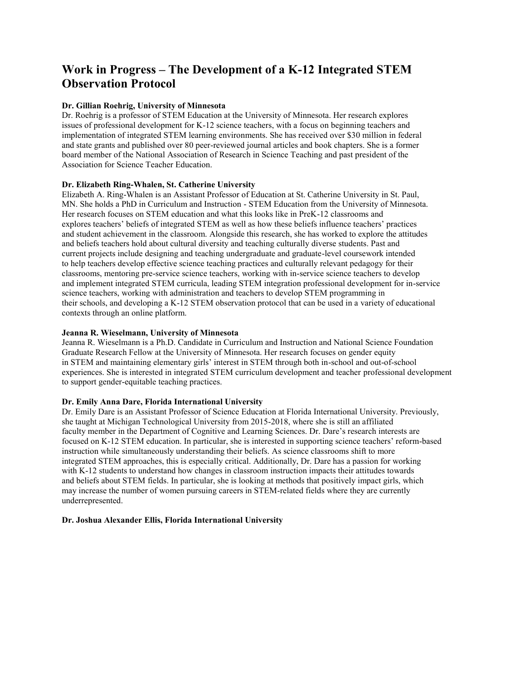# **Work in Progress – The Development of a K-12 Integrated STEM Observation Protocol**

### **Dr. Gillian Roehrig, University of Minnesota**

Dr. Roehrig is a professor of STEM Education at the University of Minnesota. Her research explores issues of professional development for K-12 science teachers, with a focus on beginning teachers and implementation of integrated STEM learning environments. She has received over \$30 million in federal and state grants and published over 80 peer-reviewed journal articles and book chapters. She is a former board member of the National Association of Research in Science Teaching and past president of the Association for Science Teacher Education.

### **Dr. Elizabeth Ring-Whalen, St. Catherine University**

Elizabeth A. Ring-Whalen is an Assistant Professor of Education at St. Catherine University in St. Paul, MN. She holds a PhD in Curriculum and Instruction - STEM Education from the University of Minnesota. Her research focuses on STEM education and what this looks like in PreK-12 classrooms and explores teachers' beliefs of integrated STEM as well as how these beliefs influence teachers' practices and student achievement in the classroom. Alongside this research, she has worked to explore the attitudes and beliefs teachers hold about cultural diversity and teaching culturally diverse students. Past and current projects include designing and teaching undergraduate and graduate-level coursework intended to help teachers develop effective science teaching practices and culturally relevant pedagogy for their classrooms, mentoring pre-service science teachers, working with in-service science teachers to develop and implement integrated STEM curricula, leading STEM integration professional development for in-service science teachers, working with administration and teachers to develop STEM programming in their schools, and developing a K-12 STEM observation protocol that can be used in a variety of educational contexts through an online platform.

### **Jeanna R. Wieselmann, University of Minnesota**

Jeanna R. Wieselmann is a Ph.D. Candidate in Curriculum and Instruction and National Science Foundation Graduate Research Fellow at the University of Minnesota. Her research focuses on gender equity in STEM and maintaining elementary girls' interest in STEM through both in-school and out-of-school experiences. She is interested in integrated STEM curriculum development and teacher professional development to support gender-equitable teaching practices.

### **Dr. Emily Anna Dare, Florida International University**

Dr. Emily Dare is an Assistant Professor of Science Education at Florida International University. Previously, she taught at Michigan Technological University from 2015-2018, where she is still an affiliated faculty member in the Department of Cognitive and Learning Sciences. Dr. Dare's research interests are focused on K-12 STEM education. In particular, she is interested in supporting science teachers' reform-based instruction while simultaneously understanding their beliefs. As science classrooms shift to more integrated STEM approaches, this is especially critical. Additionally, Dr. Dare has a passion for working with K-12 students to understand how changes in classroom instruction impacts their attitudes towards and beliefs about STEM fields. In particular, she is looking at methods that positively impact girls, which may increase the number of women pursuing careers in STEM-related fields where they are currently underrepresented.

#### **Dr. Joshua Alexander Ellis, Florida International University**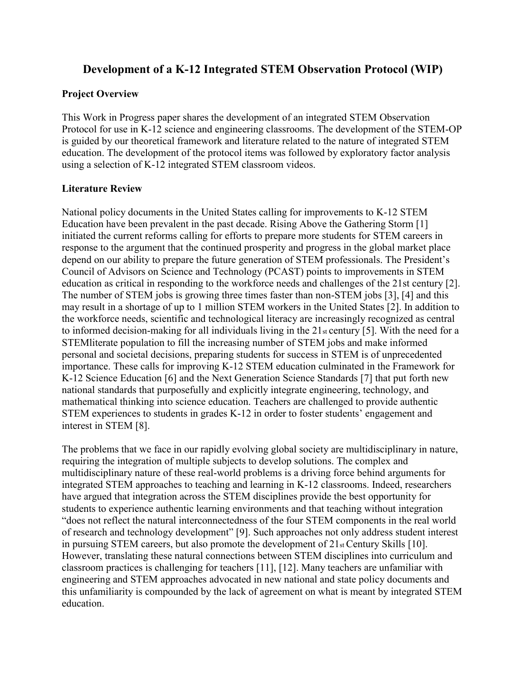## **Development of a K-12 Integrated STEM Observation Protocol (WIP)**

## **Project Overview**

This Work in Progress paper shares the development of an integrated STEM Observation Protocol for use in K-12 science and engineering classrooms. The development of the STEM-OP is guided by our theoretical framework and literature related to the nature of integrated STEM education. The development of the protocol items was followed by exploratory factor analysis using a selection of K-12 integrated STEM classroom videos.

## **Literature Review**

National policy documents in the United States calling for improvements to K-12 STEM Education have been prevalent in the past decade. Rising Above the Gathering Storm [1] initiated the current reforms calling for efforts to prepare more students for STEM careers in response to the argument that the continued prosperity and progress in the global market place depend on our ability to prepare the future generation of STEM professionals. The President's Council of Advisors on Science and Technology (PCAST) points to improvements in STEM education as critical in responding to the workforce needs and challenges of the 21st century [2]. The number of STEM jobs is growing three times faster than non-STEM jobs [3], [4] and this may result in a shortage of up to 1 million STEM workers in the United States [2]. In addition to the workforce needs, scientific and technological literacy are increasingly recognized as central to informed decision-making for all individuals living in the 21st century [5]. With the need for a STEMliterate population to fill the increasing number of STEM jobs and make informed personal and societal decisions, preparing students for success in STEM is of unprecedented importance. These calls for improving K-12 STEM education culminated in the Framework for K-12 Science Education [6] and the Next Generation Science Standards [7] that put forth new national standards that purposefully and explicitly integrate engineering, technology, and mathematical thinking into science education. Teachers are challenged to provide authentic STEM experiences to students in grades K-12 in order to foster students' engagement and interest in STEM [8].

The problems that we face in our rapidly evolving global society are multidisciplinary in nature, requiring the integration of multiple subjects to develop solutions. The complex and multidisciplinary nature of these real-world problems is a driving force behind arguments for integrated STEM approaches to teaching and learning in K-12 classrooms. Indeed, researchers have argued that integration across the STEM disciplines provide the best opportunity for students to experience authentic learning environments and that teaching without integration "does not reflect the natural interconnectedness of the four STEM components in the real world of research and technology development" [9]. Such approaches not only address student interest in pursuing STEM careers, but also promote the development of 21st Century Skills [10]. However, translating these natural connections between STEM disciplines into curriculum and classroom practices is challenging for teachers [11], [12]. Many teachers are unfamiliar with engineering and STEM approaches advocated in new national and state policy documents and this unfamiliarity is compounded by the lack of agreement on what is meant by integrated STEM education.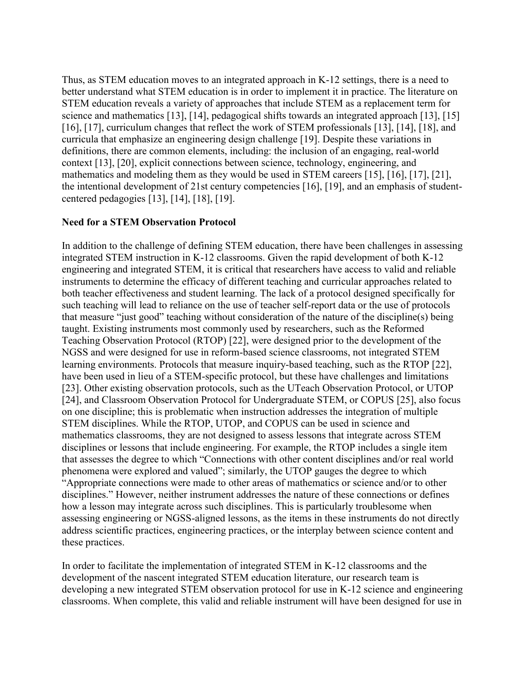Thus, as STEM education moves to an integrated approach in K-12 settings, there is a need to better understand what STEM education is in order to implement it in practice. The literature on STEM education reveals a variety of approaches that include STEM as a replacement term for science and mathematics [13], [14], pedagogical shifts towards an integrated approach [13], [15] [16], [17], curriculum changes that reflect the work of STEM professionals [13], [14], [18], and curricula that emphasize an engineering design challenge [19]. Despite these variations in definitions, there are common elements, including: the inclusion of an engaging, real-world context [13], [20], explicit connections between science, technology, engineering, and mathematics and modeling them as they would be used in STEM careers [15], [16], [17], [21], the intentional development of 21st century competencies [16], [19], and an emphasis of studentcentered pedagogies [13], [14], [18], [19].

## **Need for a STEM Observation Protocol**

In addition to the challenge of defining STEM education, there have been challenges in assessing integrated STEM instruction in K-12 classrooms. Given the rapid development of both K-12 engineering and integrated STEM, it is critical that researchers have access to valid and reliable instruments to determine the efficacy of different teaching and curricular approaches related to both teacher effectiveness and student learning. The lack of a protocol designed specifically for such teaching will lead to reliance on the use of teacher self-report data or the use of protocols that measure "just good" teaching without consideration of the nature of the discipline(s) being taught. Existing instruments most commonly used by researchers, such as the Reformed Teaching Observation Protocol (RTOP) [22], were designed prior to the development of the NGSS and were designed for use in reform-based science classrooms, not integrated STEM learning environments. Protocols that measure inquiry-based teaching, such as the RTOP [22], have been used in lieu of a STEM-specific protocol, but these have challenges and limitations [23]. Other existing observation protocols, such as the UTeach Observation Protocol, or UTOP [24], and Classroom Observation Protocol for Undergraduate STEM, or COPUS [25], also focus on one discipline; this is problematic when instruction addresses the integration of multiple STEM disciplines. While the RTOP, UTOP, and COPUS can be used in science and mathematics classrooms, they are not designed to assess lessons that integrate across STEM disciplines or lessons that include engineering. For example, the RTOP includes a single item that assesses the degree to which "Connections with other content disciplines and/or real world phenomena were explored and valued"; similarly, the UTOP gauges the degree to which "Appropriate connections were made to other areas of mathematics or science and/or to other disciplines." However, neither instrument addresses the nature of these connections or defines how a lesson may integrate across such disciplines. This is particularly troublesome when assessing engineering or NGSS-aligned lessons, as the items in these instruments do not directly address scientific practices, engineering practices, or the interplay between science content and these practices.

In order to facilitate the implementation of integrated STEM in K-12 classrooms and the development of the nascent integrated STEM education literature, our research team is developing a new integrated STEM observation protocol for use in K-12 science and engineering classrooms. When complete, this valid and reliable instrument will have been designed for use in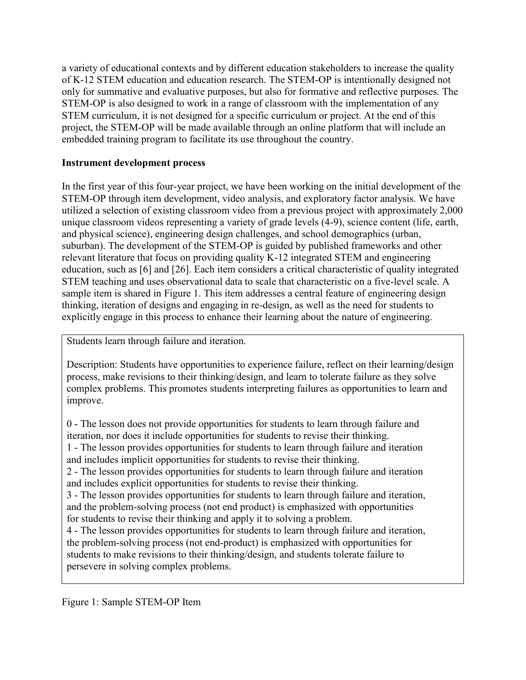a variety of educational contexts and by different education stakeholders to increase the quality of K-12 STEM education and education research. The STEM-OP is intentionally designed not only for summative and evaluative purposes, but also for formative and reflective purposes. The STEM-OP is also designed to work in a range of classroom with the implementation of any STEM curriculum, it is not designed for a specific curriculum or project. At the end of this project, the STEM-OP will be made available through an online platform that will include an embedded training program to facilitate its use throughout the country.

## **Instrument development process**

In the first year of this four-year project, we have been working on the initial development of the STEM-OP through item development, video analysis, and exploratory factor analysis. We have utilized a selection of existing classroom video from a previous project with approximately 2,000 unique classroom videos representing a variety of grade levels (4-9), science content (life, earth, and physical science), engineering design challenges, and school demographics (urban, suburban). The development of the STEM-OP is guided by published frameworks and other relevant literature that focus on providing quality K-12 integrated STEM and engineering education, such as [6] and [26]. Each item considers a critical characteristic of quality integrated STEM teaching and uses observational data to scale that characteristic on a five-level scale. A sample item is shared in Figure 1. This item addresses a central feature of engineering design thinking, iteration of designs and engaging in re-design, as well as the need for students to explicitly engage in this process to enhance their learning about the nature of engineering.

Students learn through failure and iteration.

Description: Students have opportunities to experience failure, reflect on their learning/design process, make revisions to their thinking/design, and learn to tolerate failure as they solve complex problems. This promotes students interpreting failures as opportunities to learn and improve.

0 - The lesson does not provide opportunities for students to learn through failure and iteration, nor does it include opportunities for students to revise their thinking. 1 - The lesson provides opportunities for students to learn through failure and iteration and includes implicit opportunities for students to revise their thinking. 2 - The lesson provides opportunities for students to learn through failure and iteration and includes explicit opportunities for students to revise their thinking. 3 - The lesson provides opportunities for students to learn through failure and iteration, and the problem-solving process (not end product) is emphasized with opportunities for students to revise their thinking and apply it to solving a problem. 4 - The lesson provides opportunities for students to learn through failure and iteration, the problem-solving process (not end-product) is emphasized with opportunities for students to make revisions to their thinking/design, and students tolerate failure to persevere in solving complex problems.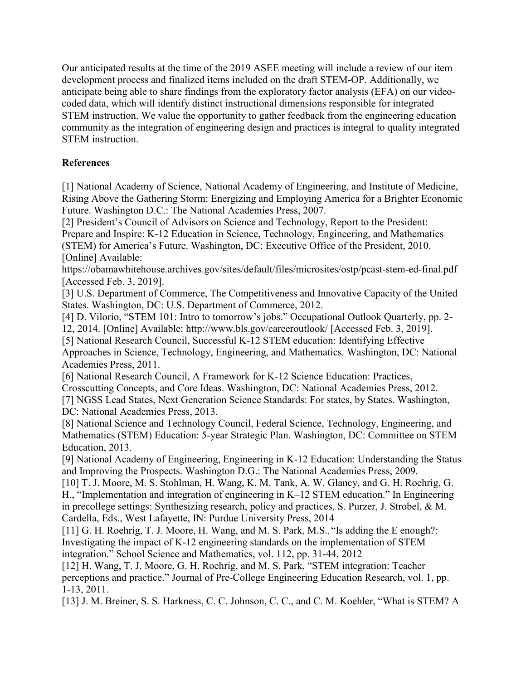Our anticipated results at the time of the 2019 ASEE meeting will include a review of our item development process and finalized items included on the draft STEM-OP. Additionally, we anticipate being able to share findings from the exploratory factor analysis (EFA) on our videocoded data, which will identify distinct instructional dimensions responsible for integrated STEM instruction. We value the opportunity to gather feedback from the engineering education community as the integration of engineering design and practices is integral to quality integrated STEM instruction.

## **References**

[1] National Academy of Science, National Academy of Engineering, and Institute of Medicine, Rising Above the Gathering Storm: Energizing and Employing America for a Brighter Economic Future. Washington D.C.: The National Academies Press, 2007.

[2] President's Council of Advisors on Science and Technology, Report to the President: Prepare and Inspire: K-12 Education in Science, Technology, Engineering, and Mathematics (STEM) for America's Future. Washington, DC: Executive Office of the President, 2010. [Online] Available:

https://obamawhitehouse.archives.gov/sites/default/files/microsites/ostp/pcast-stem-ed-final.pdf [Accessed Feb. 3, 2019].

[3] U.S. Department of Commerce, The Competitiveness and Innovative Capacity of the United States. Washington, DC: U.S. Department of Commerce, 2012.

[4] D. Vilorio, "STEM 101: Intro to tomorrow's jobs." Occupational Outlook Quarterly, pp. 2-

12, 2014. [Online] Available: http://www.bls.gov/careeroutlook/ [Accessed Feb. 3, 2019].

[5] National Research Council, Successful K-12 STEM education: Identifying Effective Approaches in Science, Technology, Engineering, and Mathematics. Washington, DC: National Academies Press, 2011.

[6] National Research Council, A Framework for K-12 Science Education: Practices,

Crosscutting Concepts, and Core Ideas. Washington, DC: National Academies Press, 2012.

[7] NGSS Lead States, Next Generation Science Standards: For states, by States. Washington, DC: National Academies Press, 2013.

[8] National Science and Technology Council, Federal Science, Technology, Engineering, and Mathematics (STEM) Education: 5-year Strategic Plan. Washington, DC: Committee on STEM Education, 2013.

[9] National Academy of Engineering, Engineering in K-12 Education: Understanding the Status and Improving the Prospects. Washington D.G.: The National Academies Press, 2009.

[10] T. J. Moore, M. S. Stohlman, H. Wang, K. M. Tank, A. W. Glancy, and G. H. Roehrig, G. H., "Implementation and integration of engineering in K–12 STEM education." In Engineering in precollege settings: Synthesizing research, policy and practices, S. Purzer, J. Strobel, & M. Cardella, Eds., West Lafayette, IN: Purdue University Press, 2014

[11] G. H. Roehrig, T. J. Moore, H. Wang, and M. S. Park, M.S., "Is adding the E enough?: Investigating the impact of K-12 engineering standards on the implementation of STEM integration." School Science and Mathematics, vol. 112, pp. 31-44, 2012

[12] H. Wang, T. J. Moore, G. H. Roehrig, and M. S. Park, "STEM integration: Teacher perceptions and practice." Journal of Pre-College Engineering Education Research, vol. 1, pp. 1-13, 2011.

[13] J. M. Breiner, S. S. Harkness, C. C. Johnson, C. C., and C. M. Koehler, "What is STEM? A